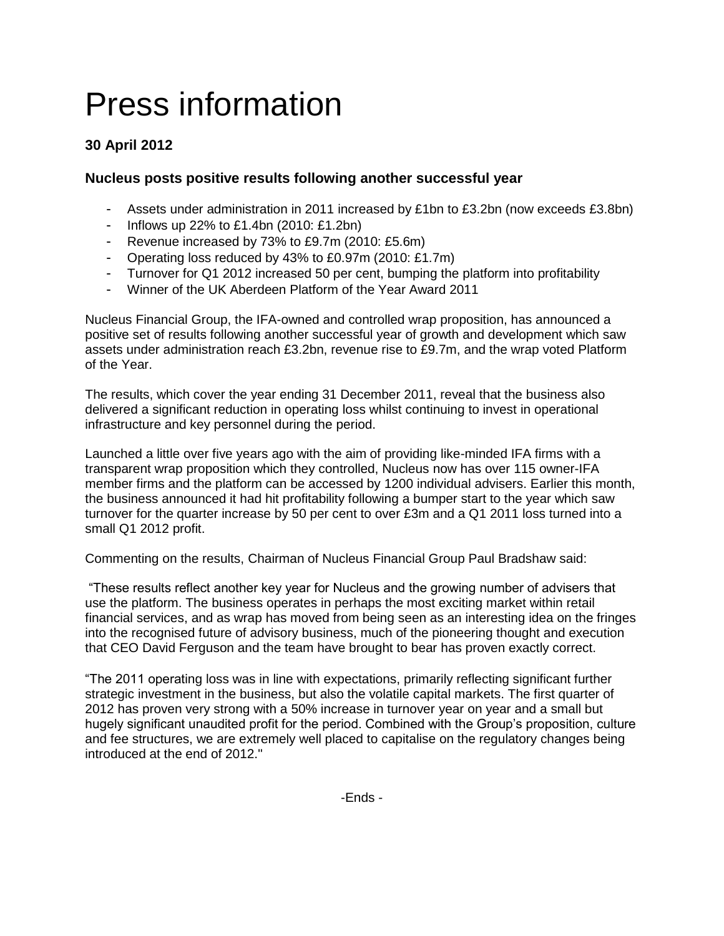# Press information

## **30 April 2012**

### **Nucleus posts positive results following another successful year**

- Assets under administration in 2011 increased by £1bn to £3.2bn (now exceeds £3.8bn)
- Inflows up 22% to £1.4bn (2010: £1.2bn)
- Revenue increased by 73% to £9.7m (2010: £5.6m)
- Operating loss reduced by 43% to £0.97m (2010: £1.7m)
- Turnover for Q1 2012 increased 50 per cent, bumping the platform into profitability
- Winner of the UK Aberdeen Platform of the Year Award 2011

Nucleus Financial Group, the IFA-owned and controlled wrap proposition, has announced a positive set of results following another successful year of growth and development which saw assets under administration reach £3.2bn, revenue rise to £9.7m, and the wrap voted Platform of the Year.

The results, which cover the year ending 31 December 2011, reveal that the business also delivered a significant reduction in operating loss whilst continuing to invest in operational infrastructure and key personnel during the period.

Launched a little over five years ago with the aim of providing like-minded IFA firms with a transparent wrap proposition which they controlled, Nucleus now has over 115 owner-IFA member firms and the platform can be accessed by 1200 individual advisers. Earlier this month, the business announced it had hit profitability following a bumper start to the year which saw turnover for the quarter increase by 50 per cent to over £3m and a Q1 2011 loss turned into a small Q1 2012 profit.

Commenting on the results, Chairman of Nucleus Financial Group Paul Bradshaw said:

"These results reflect another key year for Nucleus and the growing number of advisers that use the platform. The business operates in perhaps the most exciting market within retail financial services, and as wrap has moved from being seen as an interesting idea on the fringes into the recognised future of advisory business, much of the pioneering thought and execution that CEO David Ferguson and the team have brought to bear has proven exactly correct.

"The 2011 operating loss was in line with expectations, primarily reflecting significant further strategic investment in the business, but also the volatile capital markets. The first quarter of 2012 has proven very strong with a 50% increase in turnover year on year and a small but hugely significant unaudited profit for the period. Combined with the Group's proposition, culture and fee structures, we are extremely well placed to capitalise on the regulatory changes being introduced at the end of 2012."

-Ends -